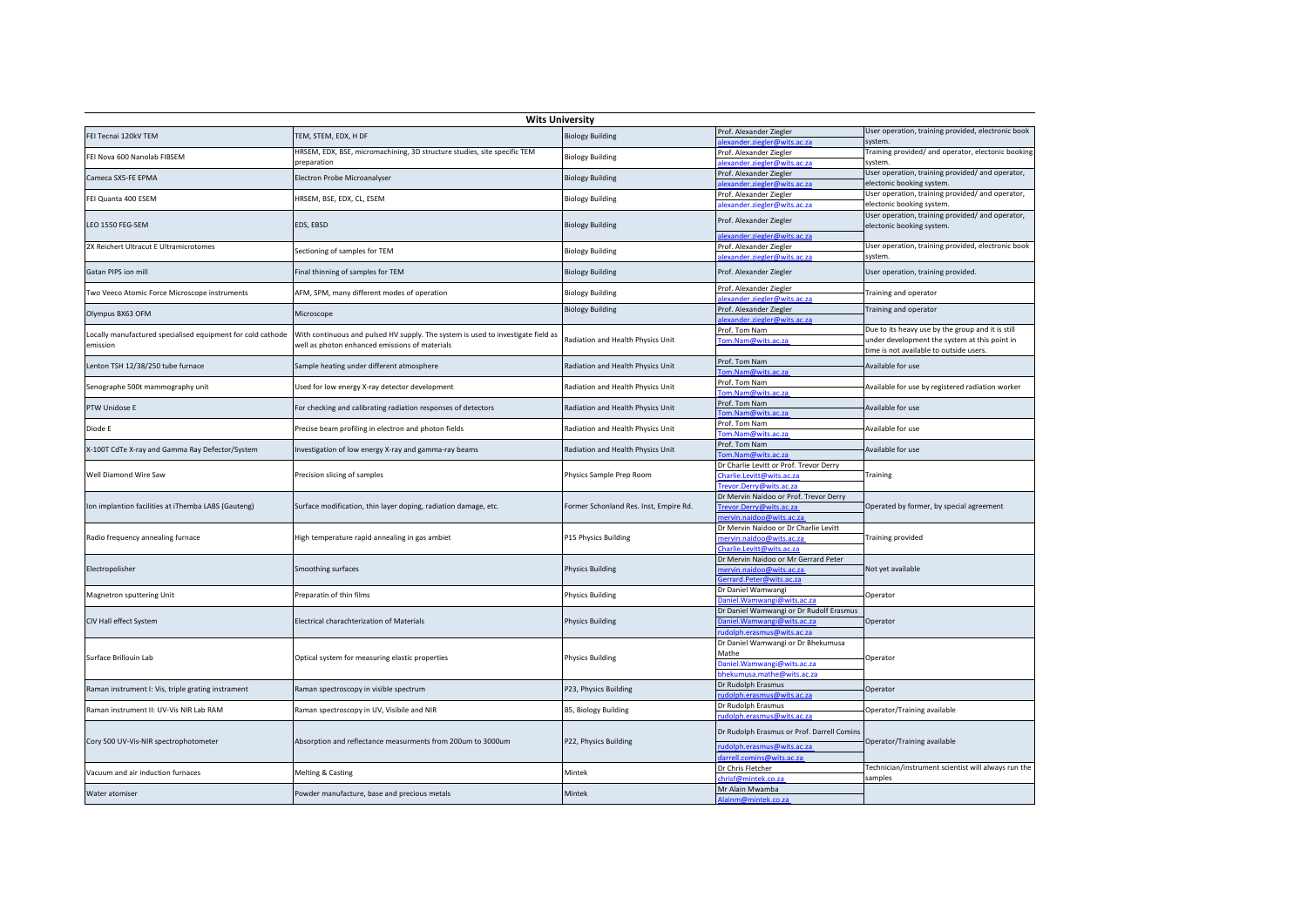|                                                             | <b>Wits University</b>                                                           |                                        |                                                                   |                                                                               |
|-------------------------------------------------------------|----------------------------------------------------------------------------------|----------------------------------------|-------------------------------------------------------------------|-------------------------------------------------------------------------------|
| FEI Tecnai 120kV TEM                                        | TEM, STEM, EDX, H DF                                                             | <b>Biology Building</b>                | Prof. Alexander Ziegler                                           | User operation, training provided, electronic book                            |
| FEI Nova 600 Nanolab FIBSEM                                 | HRSEM, EDX, BSE, micromachining, 3D structure studies, site specific TEM         | <b>Biology Building</b>                | alexander.ziegler@wits.ac.za<br>Prof. Alexander Ziegler           | system.<br>Training provided/ and operator, electonic booking                 |
| Cameca SX5-FE EPMA                                          | preparation<br>Electron Probe Microanalyser                                      | <b>Biology Building</b>                | lexander.ziegler@wits.ac.za<br>Prof. Alexander Ziegler            | system.<br>User operation, training provided/ and operator,                   |
|                                                             |                                                                                  |                                        | exander.ziegler@wits.ac.za                                        | electonic booking system.<br>User operation, training provided/ and operator, |
| FEI Quanta 400 ESEM                                         | HRSEM, BSE, EDX, CL, ESEM                                                        | <b>Biology Building</b>                | Prof. Alexander Ziegler<br>alexander.ziegler@wits.ac.za           | electonic booking system.                                                     |
| LEO 1550 FEG-SEM                                            | EDS, EBSD                                                                        | <b>Biology Building</b>                | Prof. Alexander Ziegler                                           | User operation, training provided/ and operator,<br>electonic booking system. |
|                                                             |                                                                                  |                                        | alexander.ziegler@wits.ac.za                                      |                                                                               |
| 2X Reichert Ultracut E Ultramicrotomes                      | Sectioning of samples for TEM                                                    | <b>Biology Building</b>                | Prof. Alexander Ziegler<br>alexander.ziegler@wits.ac.za           | User operation, training provided, electronic book<br>system.                 |
| Gatan PIPS ion mill                                         | Final thinning of samples for TEM                                                | <b>Biology Building</b>                | Prof. Alexander Ziegler                                           | User operation, training provided.                                            |
| Two Veeco Atomic Force Microscope instruments               | AFM, SPM, many different modes of operation                                      | <b>Biology Building</b>                | Prof. Alexander Ziegler<br>alexander.ziegler@wits.ac.za           | Training and operator                                                         |
|                                                             |                                                                                  | <b>Biology Building</b>                | Prof. Alexander Ziegler                                           | Training and operator                                                         |
| Olympus BX63 OFM                                            | Microscope                                                                       |                                        | slexander.ziegler@wits.ac.za                                      |                                                                               |
| Locally manufactured specialised equipment for cold cathode | With continuous and pulsed HV supply. The system is used to investigate field as |                                        | Prof. Tom Nam                                                     | Due to its heavy use by the group and it is still                             |
| emission                                                    | well as photon enhanced emissions of materials                                   | Radiation and Health Physics Unit      | Tom.Nam@wits.ac.za                                                | under development the system at this point in                                 |
|                                                             |                                                                                  |                                        | Prof. Tom Nam                                                     | time is not available to outside users.                                       |
| Lenton TSH 12/38/250 tube furnace                           | Sample heating under different atmosphere                                        | Radiation and Health Physics Unit      | Tom.Nam@wits.ac.za                                                | Available for use                                                             |
|                                                             |                                                                                  |                                        | Prof. Tom Nam                                                     |                                                                               |
| Senographe 500t mammography unit                            | Used for low energy X-ray detector development                                   | Radiation and Health Physics Unit      | Tom.Nam@wits.ac.za                                                | Available for use by registered radiation worker                              |
| PTW Unidose E                                               | For checking and calibrating radiation responses of detectors                    | Radiation and Health Physics Unit      | Prof. Tom Nam                                                     | Available for use                                                             |
|                                                             |                                                                                  |                                        | Tom.Nam@wits.ac.za                                                |                                                                               |
| Diode E                                                     | Precise beam profiling in electron and photon fields                             | Radiation and Health Physics Unit      | Prof. Tom Nam<br>Tom.Nam@wits.ac.za                               | Available for use                                                             |
|                                                             |                                                                                  |                                        | Prof. Tom Nam                                                     |                                                                               |
| X-100T CdTe X-ray and Gamma Ray Defector/System             | Investigation of low energy X-ray and gamma-ray beams                            | Radiation and Health Physics Unit      | Tom.Nam@wits.ac.za                                                | Available for use                                                             |
|                                                             | Precision slicing of samples                                                     | Physics Sample Prep Room               | Dr Charlie Levitt or Prof. Trevor Derry                           | Training                                                                      |
| Well Diamond Wire Saw                                       |                                                                                  |                                        | Charlie.Levitt@wits.ac.za                                         |                                                                               |
|                                                             |                                                                                  |                                        | Trevor.Derry@wits.ac.za<br>Dr Mervin Naidoo or Prof. Trevor Derry |                                                                               |
| Ion implantion facilities at iThemba LABS (Gauteng)         | Surface modification, thin layer doping, radiation damage, etc.                  | Former Schonland Res. Inst, Empire Rd. | Trevor.Derry@wits.ac.za                                           | Operated by former, by special agreement                                      |
|                                                             |                                                                                  |                                        | nervin.naidoo@wits.ac.za                                          |                                                                               |
|                                                             |                                                                                  | P15 Physics Building                   | Dr Mervin Naidoo or Dr Charlie Levitt                             | Training provided                                                             |
| Radio frequency annealing furnace                           | High temperature rapid annealing in gas ambiet                                   |                                        | mervin.naidoo@wits.ac.za                                          |                                                                               |
|                                                             |                                                                                  |                                        | Charlie.Levitt@wits.ac.za<br>Dr Mervin Naidoo or Mr Gerrard Peter |                                                                               |
| Electropolisher                                             | Smoothing surfaces                                                               | <b>Physics Building</b>                | mervin.naidoo@wits.ac.za                                          | Not yet available                                                             |
|                                                             |                                                                                  |                                        | Gerrard.Peter@wits.ac.za                                          |                                                                               |
| Magnetron sputtering Unit                                   | Preparatin of thin films                                                         | <b>Physics Building</b>                | Dr Daniel Wamwangi                                                | Operator                                                                      |
|                                                             |                                                                                  |                                        | Daniel. Wamwangi@wits.ac.za                                       |                                                                               |
| CIV Hall effect System                                      | Electrical charachterization of Materials                                        | <b>Physics Building</b>                | Dr Daniel Wamwangi or Dr Rudolf Erasmus                           | Operator                                                                      |
|                                                             |                                                                                  |                                        | Daniel.Wamwangi@wits.ac.za<br>udolph.erasmus@wits.ac.za           |                                                                               |
| Surface Brillouin Lab                                       | Optical system for measuring elastic properties                                  | <b>Physics Building</b>                | Dr Daniel Wamwangi or Dr Bhekumusa                                | Operator                                                                      |
|                                                             |                                                                                  |                                        | Mathe                                                             |                                                                               |
|                                                             |                                                                                  |                                        | Daniel. Wamwangi@wits.ac.za                                       |                                                                               |
|                                                             |                                                                                  |                                        | bhekumusa.mathe@wits.ac.za                                        |                                                                               |
| Raman instrument I: Vis, triple grating instrament          | Raman spectroscopy in visible spectrum                                           | P23, Physics Building                  | Dr Rudolph Erasmus<br>udolph.erasmus@wits.ac.za                   | Operator                                                                      |
| Raman instrument II: UV-Vis NIR Lab RAM                     | Raman spectroscopy in UV, Visibile and NIR                                       | B5, Biology Building                   | Dr Rudolph Erasmus                                                | Operator/Training available                                                   |
|                                                             |                                                                                  |                                        | rudolph.erasmus@wits.ac.za                                        |                                                                               |
| Cory 500 UV-Vis-NIR spectrophotometer                       | Absorption and reflectance measurments from 200um to 3000um                      | P22, Physics Building                  | Dr Rudolph Erasmus or Prof. Darrell Comins                        | Operator/Training available                                                   |
|                                                             |                                                                                  |                                        | rudolph.erasmus@wits.ac.za<br>darrell.comins@wits.ac.za           |                                                                               |
|                                                             |                                                                                  |                                        | Dr Chris Fletcher                                                 | Technician/instrument scientist will always run the                           |
| Vacuum and air induction furnaces                           | Melting & Casting                                                                | Mintek                                 | hrisf@mintek.co.za                                                | samples                                                                       |
| Water atomiser                                              | Powder manufacture, base and precious metals                                     | Mintek                                 | Mr Alain Mwamba                                                   |                                                                               |
|                                                             |                                                                                  |                                        | Alainm@mintek.co.za                                               |                                                                               |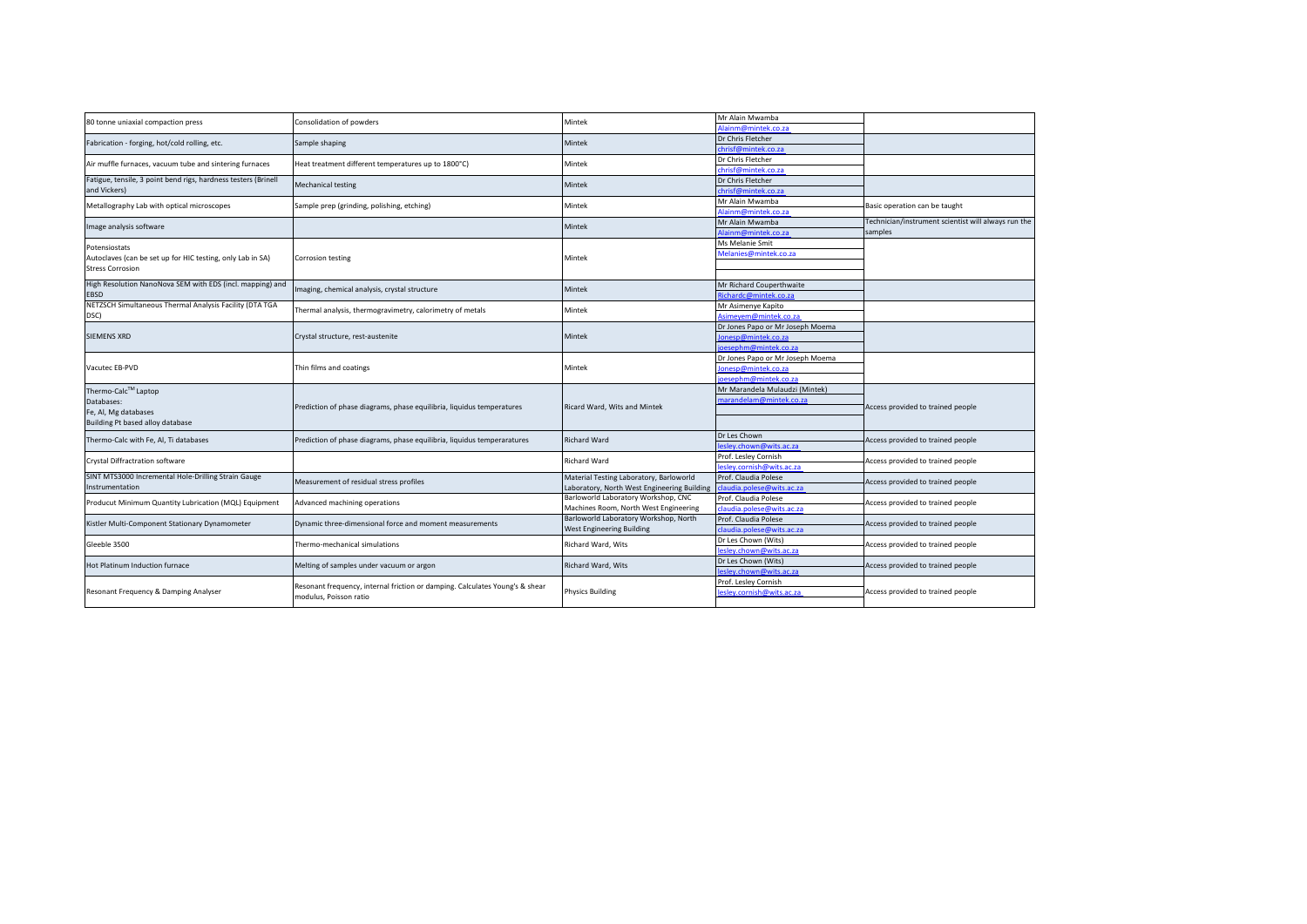| 80 tonne uniaxial compaction press                             | Consolidation of powders                                                                               | Mintek                                                                             | Mr Alain Mwamba                                   |                                                     |
|----------------------------------------------------------------|--------------------------------------------------------------------------------------------------------|------------------------------------------------------------------------------------|---------------------------------------------------|-----------------------------------------------------|
|                                                                |                                                                                                        |                                                                                    | Alainm@mintek.co.za                               |                                                     |
| Fabrication - forging, hot/cold rolling, etc.                  | Sample shaping                                                                                         | Mintek                                                                             | Dr Chris Fletcher                                 |                                                     |
|                                                                |                                                                                                        |                                                                                    | chrisf@mintek.co.za                               |                                                     |
| Air muffle furnaces, vacuum tube and sintering furnaces        | Heat treatment different temperatures up to 1800°C)                                                    | Mintek                                                                             | Dr Chris Fletcher                                 |                                                     |
|                                                                |                                                                                                        |                                                                                    | chrisf@mintek.co.za                               |                                                     |
| Fatigue, tensile, 3 point bend rigs, hardness testers (Brinell | Mechanical testing                                                                                     | <b>Mintek</b>                                                                      | Dr Chris Fletcher                                 |                                                     |
| and Vickers)                                                   |                                                                                                        |                                                                                    | chrisf@mintek.co.za                               |                                                     |
| Metallography Lab with optical microscopes                     | Sample prep (grinding, polishing, etching)                                                             | Mintek                                                                             | Mr Alain Mwamba                                   | Basic operation can be taught                       |
|                                                                |                                                                                                        |                                                                                    | Alainm@mintek.co.za                               |                                                     |
| Image analysis software                                        |                                                                                                        | Mintek                                                                             | Mr Alain Mwamba                                   | Technician/instrument scientist will always run the |
|                                                                |                                                                                                        |                                                                                    | Alainm@mintek.co.za                               | samples                                             |
| Potensiostats                                                  |                                                                                                        |                                                                                    | Ms Melanie Smit                                   |                                                     |
| Autoclaves (can be set up for HIC testing, only Lab in SA)     |                                                                                                        | Mintek                                                                             | Melanies@mintek.co.za                             |                                                     |
|                                                                | Corrosion testing                                                                                      |                                                                                    |                                                   |                                                     |
| <b>Stress Corrosion</b>                                        |                                                                                                        |                                                                                    |                                                   |                                                     |
| High Resolution NanoNova SEM with EDS (incl. mapping) and      |                                                                                                        | Mintek                                                                             | Mr Richard Couperthwaite                          |                                                     |
| EBSD                                                           | maging, chemical analysis, crystal structure                                                           |                                                                                    | Richardc@mintek.co.za                             |                                                     |
| NETZSCH Simultaneous Thermal Analysis Facility (DTA TGA        |                                                                                                        | Mintek                                                                             | Mr Asimenye Kapito                                |                                                     |
| DSC)                                                           | Thermal analysis, thermogravimetry, calorimetry of metals                                              |                                                                                    | Asimeyem@mintek.co.za                             |                                                     |
| <b>SIEMENS XRD</b>                                             |                                                                                                        |                                                                                    | Dr Jones Papo or Mr Joseph Moema                  |                                                     |
|                                                                | Crystal structure, rest-austenite                                                                      | Mintek                                                                             | Jonesp@mintek.co.za                               |                                                     |
|                                                                |                                                                                                        |                                                                                    | oesephm@mintek.co.za                              |                                                     |
|                                                                |                                                                                                        |                                                                                    | Dr Jones Papo or Mr Joseph Moema                  |                                                     |
| Vacutec EB-PVD                                                 | Thin films and coatings                                                                                | Mintek                                                                             | lonesp@mintek.co.za                               |                                                     |
|                                                                |                                                                                                        |                                                                                    | oesephm@mintek.co.za                              |                                                     |
| Thermo-Calc™ Laptop                                            |                                                                                                        |                                                                                    | Mr Marandela Mulaudzi (Mintek)                    |                                                     |
| Databases:                                                     |                                                                                                        |                                                                                    | marandelam@mintek.co.za                           |                                                     |
| Fe, Al, Mg databases                                           | Prediction of phase diagrams, phase equilibria, liquidus temperatures                                  | Ricard Ward, Wits and Mintek                                                       |                                                   | Access provided to trained people                   |
| Building Pt based alloy database                               |                                                                                                        |                                                                                    |                                                   |                                                     |
|                                                                |                                                                                                        |                                                                                    | Dr Les Chown                                      |                                                     |
| Thermo-Calc with Fe, Al, Ti databases                          | Prediction of phase diagrams, phase equilibria, liquidus temperaratures                                | <b>Richard Ward</b>                                                                | lesley.chown@wits.ac.za                           | Access provided to trained people                   |
|                                                                |                                                                                                        |                                                                                    |                                                   |                                                     |
| Crystal Diffractration software                                |                                                                                                        | <b>Richard Ward</b>                                                                | Prof. Lesley Cornish<br>lesley.cornish@wits.ac.za | Access provided to trained people                   |
|                                                                |                                                                                                        |                                                                                    |                                                   |                                                     |
| SINT MTS3000 Incremental Hole-Drilling Strain Gauge            | Measurement of residual stress profiles                                                                | Material Testing Laboratory, Barloworld                                            | Prof. Claudia Polese                              | Access provided to trained people                   |
| Instrumentation                                                |                                                                                                        | Laboratory, North West Engineering Building<br>Barloworld Laboratory Workshop, CNC | claudia.polese@wits.ac.za                         |                                                     |
| Producut Minimum Quantity Lubrication (MQL) Equipment          | Advanced machining operations                                                                          |                                                                                    | Prof. Claudia Polese                              | Access provided to trained people                   |
|                                                                |                                                                                                        | Machines Room, North West Engineering                                              | claudia.polese@wits.ac.za                         |                                                     |
| Kistler Multi-Component Stationary Dynamometer                 | Dynamic three-dimensional force and moment measurements                                                | Barloworld Laboratory Workshop, North                                              | Prof. Claudia Polese                              | Access provided to trained people                   |
|                                                                |                                                                                                        | West Engineering Building                                                          | claudia.polese@wits.ac.za                         |                                                     |
| Gleeble 3500                                                   | Thermo-mechanical simulations                                                                          | Richard Ward, Wits                                                                 | Dr Les Chown (Wits)                               | Access provided to trained people                   |
|                                                                |                                                                                                        |                                                                                    | leslev.chown@wits.ac.za                           |                                                     |
| Hot Platinum Induction furnace                                 | Melting of samples under vacuum or argon                                                               | Richard Ward, Wits                                                                 | Dr Les Chown (Wits)                               | Access provided to trained people                   |
|                                                                |                                                                                                        |                                                                                    | lesley.chown@wits.ac.za                           |                                                     |
| Resonant Frequency & Damping Analyser                          | Resonant frequency, internal friction or damping. Calculates Young's & shear<br>modulus, Poisson ratio | <b>Physics Building</b>                                                            | Prof. Lesley Cornish                              |                                                     |
|                                                                |                                                                                                        |                                                                                    | lesley.cornish@wits.ac.za                         | Access provided to trained people                   |
|                                                                |                                                                                                        |                                                                                    |                                                   |                                                     |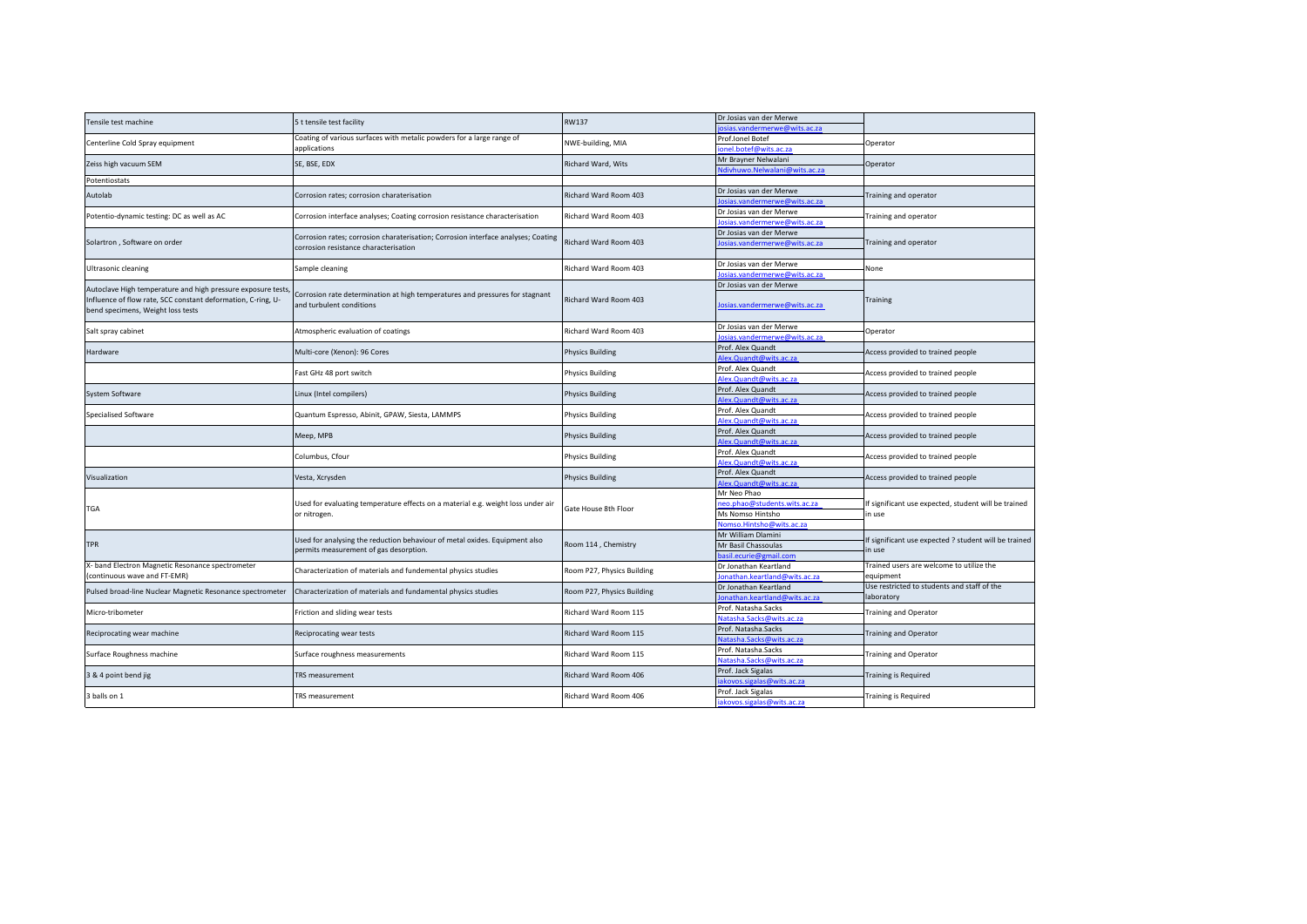| Tensile test machine                                         | 5 t tensile test facility                                                                                            | <b>RW137</b>               | Dr Josias van der Merwe       |                                                                 |
|--------------------------------------------------------------|----------------------------------------------------------------------------------------------------------------------|----------------------------|-------------------------------|-----------------------------------------------------------------|
|                                                              |                                                                                                                      |                            | osias.vandermerwe@wits.ac.za  |                                                                 |
| Centerline Cold Spray equipment                              | Coating of various surfaces with metalic powders for a large range of<br>applications                                | NWE-building, MIA          | Prof.lonel Botef              | Operator                                                        |
|                                                              |                                                                                                                      |                            | ionel.botef@wits.ac.za        |                                                                 |
| Zeiss high vacuum SEM                                        | SE, BSE, EDX                                                                                                         | Richard Ward, Wits         | Mr Brayner Nelwalani          | Operator                                                        |
|                                                              |                                                                                                                      |                            | Ndivhuwo.Nelwalani@wits.ac.za |                                                                 |
| Potentiostats                                                |                                                                                                                      |                            |                               |                                                                 |
| Autolab                                                      | Corrosion rates; corrosion charaterisation                                                                           | Richard Ward Room 403      | Dr Josias van der Merwe       | <b>Fraining and operator</b>                                    |
|                                                              |                                                                                                                      |                            | losias.vandermerwe@wits.ac.za |                                                                 |
|                                                              |                                                                                                                      |                            | Dr Josias van der Merwe       |                                                                 |
| Potentio-dynamic testing: DC as well as AC                   | Corrosion interface analyses; Coating corrosion resistance characterisation                                          | Richard Ward Room 403      | losias.vandermerwe@wits.ac.za | Fraining and operator                                           |
|                                                              |                                                                                                                      | Richard Ward Room 403      | Dr Josias van der Merwe       |                                                                 |
| Solartron, Software on order                                 | Corrosion rates; corrosion charaterisation; Corrosion interface analyses; Coating                                    |                            | Josias.vandermerwe@wits.ac.za | Training and operator                                           |
|                                                              | corrosion resistance characterisation                                                                                |                            |                               |                                                                 |
|                                                              |                                                                                                                      |                            | Dr Josias van der Merwe       |                                                                 |
| Ultrasonic cleaning                                          | Sample cleaning                                                                                                      | Richard Ward Room 403      | losias.vandermerwe@wits.ac.za | None                                                            |
|                                                              |                                                                                                                      |                            | Dr Josias van der Merwe       |                                                                 |
| Autoclave High temperature and high pressure exposure tests, | Corrosion rate determination at high temperatures and pressures for stagnant                                         |                            |                               |                                                                 |
| Influence of flow rate, SCC constant deformation, C-ring, U- | and turbulent conditions                                                                                             | Richard Ward Room 403      | Josias.vandermerwe@wits.ac.za | Training                                                        |
| bend specimens, Weight loss tests                            |                                                                                                                      |                            |                               |                                                                 |
|                                                              |                                                                                                                      |                            |                               |                                                                 |
| Salt spray cabinet                                           | Atmospheric evaluation of coatings                                                                                   | Richard Ward Room 403      | Dr Josias van der Merwe       | Operator                                                        |
|                                                              |                                                                                                                      |                            | losias.vandermerwe@wits.ac.za |                                                                 |
| Hardware                                                     | Multi-core (Xenon): 96 Cores                                                                                         | <b>Physics Building</b>    | Prof. Alex Quandt             | Access provided to trained people                               |
|                                                              |                                                                                                                      |                            | Alex.Quandt@wits.ac.za        |                                                                 |
|                                                              | Fast GHz 48 port switch                                                                                              | <b>Physics Building</b>    | Prof. Alex Quandt             | Access provided to trained people                               |
|                                                              |                                                                                                                      |                            | Alex.Quandt@wits.ac.za        |                                                                 |
| System Software                                              |                                                                                                                      |                            | Prof. Alex Quandt             | Access provided to trained people                               |
|                                                              | Linux (Intel compilers)                                                                                              | <b>Physics Building</b>    | Alex.Quandt@wits.ac.za        |                                                                 |
|                                                              |                                                                                                                      | <b>Physics Building</b>    | Prof. Alex Quandt             | Access provided to trained people                               |
| Specialised Software                                         | Quantum Espresso, Abinit, GPAW, Siesta, LAMMPS                                                                       |                            | Alex.Quandt@wits.ac.za        |                                                                 |
|                                                              |                                                                                                                      |                            | Prof. Alex Quandt             |                                                                 |
|                                                              | Meep, MPB                                                                                                            | <b>Physics Building</b>    | Alex.Quandt@wits.ac.za        | Access provided to trained people                               |
|                                                              |                                                                                                                      | <b>Physics Building</b>    | Prof. Alex Quandt             | Access provided to trained people                               |
|                                                              | Columbus, Cfour                                                                                                      |                            | Alex.Quandt@wits.ac.za        |                                                                 |
|                                                              |                                                                                                                      |                            | Prof. Alex Quandt             |                                                                 |
| Visualization                                                | Vesta, Xcrysden                                                                                                      | <b>Physics Building</b>    | Alex.Quandt@wits.ac.za        | Access provided to trained people                               |
|                                                              |                                                                                                                      |                            |                               |                                                                 |
| <b>TGA</b>                                                   | Used for evaluating temperature effects on a material e.g. weight loss under air<br>or nitrogen.                     | Gate House 8th Floor       | Mr Neo Phao                   | If significant use expected, student will be trained<br>in use  |
|                                                              |                                                                                                                      |                            | neo.phao@students.wits.ac.za  |                                                                 |
|                                                              |                                                                                                                      |                            | Ms Nomso Hintsho              |                                                                 |
|                                                              |                                                                                                                      |                            | Nomso.Hintsho@wits.ac.za      |                                                                 |
| <b>TPR</b>                                                   | Used for analysing the reduction behaviour of metal oxides. Equipment also<br>permits measurement of gas desorption. | Room 114, Chemistry        | Mr William Dlamini            | If significant use expected ? student will be trained<br>in use |
|                                                              |                                                                                                                      |                            | Mr Basil Chassoulas           |                                                                 |
|                                                              |                                                                                                                      |                            | asil.ecurie@gmail.com         |                                                                 |
| X- band Electron Magnetic Resonance spectrometer             | Characterization of materials and fundemental physics studies                                                        | Room P27, Physics Building | Dr Jonathan Keartland         | Trained users are welcome to utilize the<br>equipment           |
| (continuous wave and FT-EMR)                                 |                                                                                                                      |                            | lonathan.keartland@wits.ac.za |                                                                 |
| Pulsed broad-line Nuclear Magnetic Resonance spectrometer    | Characterization of materials and fundamental physics studies                                                        | Room P27, Physics Building | Dr Jonathan Keartland         | Use restricted to students and staff of the<br>laboratory       |
|                                                              |                                                                                                                      |                            | Jonathan.keartland@wits.ac.za |                                                                 |
| Micro-tribometer                                             |                                                                                                                      |                            | Prof. Natasha.Sacks           | <b>Training and Operator</b>                                    |
|                                                              | Friction and sliding wear tests                                                                                      | Richard Ward Room 115      | Natasha. Sacks@wits.ac.za     |                                                                 |
| Reciprocating wear machine                                   | Reciprocating wear tests                                                                                             | Richard Ward Room 115      | Prof. Natasha.Sacks           | <b>Training and Operator</b>                                    |
|                                                              |                                                                                                                      |                            | Natasha.Sacks@wits.ac.za      |                                                                 |
| Surface Roughness machine                                    | Surface roughness measurements                                                                                       | Richard Ward Room 115      | Prof. Natasha.Sacks           | <b>Fraining and Operator</b>                                    |
|                                                              |                                                                                                                      |                            | Natasha.Sacks@wits.ac.za      |                                                                 |
|                                                              | <b>TRS</b> measurement                                                                                               | Richard Ward Room 406      | Prof. Jack Sigalas            | raining is Required                                             |
| 3 & 4 point bend jig                                         |                                                                                                                      |                            | akovos.sigalas@wits.ac.za     |                                                                 |
|                                                              |                                                                                                                      |                            |                               |                                                                 |
| 3 balls on 1                                                 | TRS measurement                                                                                                      | Richard Ward Room 406      | Prof. Jack Sigalas            | Training is Required                                            |
|                                                              |                                                                                                                      |                            | iakovos.sigalas@wits.ac.za    |                                                                 |